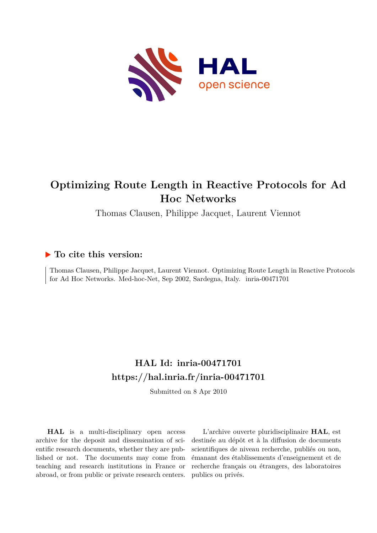

# **Optimizing Route Length in Reactive Protocols for Ad Hoc Networks**

Thomas Clausen, Philippe Jacquet, Laurent Viennot

# **To cite this version:**

Thomas Clausen, Philippe Jacquet, Laurent Viennot. Optimizing Route Length in Reactive Protocols for Ad Hoc Networks. Med-hoc-Net, Sep 2002, Sardegna, Italy. inria-00471701

# **HAL Id: inria-00471701 <https://hal.inria.fr/inria-00471701>**

Submitted on 8 Apr 2010

**HAL** is a multi-disciplinary open access archive for the deposit and dissemination of scientific research documents, whether they are published or not. The documents may come from teaching and research institutions in France or abroad, or from public or private research centers.

L'archive ouverte pluridisciplinaire **HAL**, est destinée au dépôt et à la diffusion de documents scientifiques de niveau recherche, publiés ou non, émanant des établissements d'enseignement et de recherche français ou étrangers, des laboratoires publics ou privés.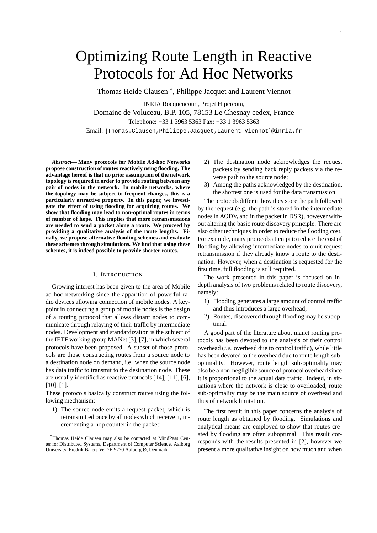# Optimizing Route Length in Reactive Protocols for Ad Hoc Networks

Thomas Heide Clausen \* , Philippe Jacquet and Laurent Viennot

INRIA Rocquencourt, Projet Hipercom, Domaine de Voluceau, B.P. 105, 78153 Le Chesnay cedex, France Telephone: +33 1 3963 5363 Fax: +33 1 3963 5363

Email: {Thomas.Clausen, Philippe.Jacquet, Laurent.Viennot}@inria.fr

*Abstract***— Many protocols for Mobile Ad-hoc Networks propose construction of routes reactively using flooding. The advantage hereof is that no prior assumption of the network topology is required in order to provide routing between any pair of nodes in the network. In mobile networks, where the topology may be subject to frequent changes, this is a particularly attractive property. In this paper, we investigate the effect of using flooding for acquiring routes. We show that flooding may lead to non-optimal routes in terms of number of hops. This implies that more retransmissions are needed to send a packet along a route. We proceed by providing a qualitative analysis of the route lengths. Finally, we propose alternative flooding schemes and evaluate these schemes through simulations. We find that using these schemes, it is indeed possible to provide shorter routes.**

## I. INTRODUCTION

Growing interest has been given to the area of Mobile ad-hoc networking since the apparition of powerful radio devices allowing connection of mobile nodes. A keypoint in connecting a group of mobile nodes is the design of a routing protocol that allows distant nodes to communicate through relaying of their traffic by intermediate nodes. Development and standardization is the subject of the IETF working group MANet [3], [7], in which several protocols have been proposed. A subset of those protocols are those constructing routes from a source node to a destination node on demand, i.e. when the source node has data traffic to transmit to the destination node. These are usually identified as reactive protocols [14], [11], [6], [10], [1].

These protocols basically construct routes using the following mechanism:

1) The source node emits a request packet, which is retransmitted once by all nodes which receive it, incrementing a hop counter in the packet;

- 2) The destination node acknowledges the request packets by sending back reply packets via the reverse path to the source node;
- 3) Among the paths acknowledged by the destination, the shortest one is used for the data transmission.

The protocols differ in how they store the path followed by the request (e.g. the path is stored in the intermediate nodes in AODV, and in the packet in DSR), however without altering the basic route discovery principle. There are also other techniques in order to reduce the flooding cost. For example, many protocols attempt to reduce the cost of flooding by allowing intermediate nodes to omit request retransmission if they already know a route to the destination. However, when a destination is requested for the first time, full flooding is still required.

The work presented in this paper is focused on indepth analysis of two problems related to route discovery, namely:

- 1) Flooding generates a large amount of control traffic and thus introduces a large overhead;
- 2) Routes, discovered through flooding may be suboptimal.

A good part of the literature about manet routing protocols has been devoted to the analysis of their control overhead (*i.e.* overhead due to control traffic), while little has been devoted to the overhead due to route length suboptimality. However, route length sub-optimality may also be a non-negligible source of protocol overhead since it is proportional to the actual data traffic. Indeed, in situations where the network is close to overloaded, route sub-optimality may be the main source of overhead and thus of network limitation.

The first result in this paper concerns the analysis of route length as obtained by flooding. Simulations and analytical means are employed to show that routes created by flooding are often suboptimal. This result corresponds with the results presented in [2], however we present a more qualitative insight on how much and when

<sup>\*</sup>Thomas Heide Clausen may also be contacted at MindPass Center for Distributed Systems, Department of Computer Science, Aalborg University, Fredrik Bajers Vej 7E 9220 Aalborg Ø, Denmark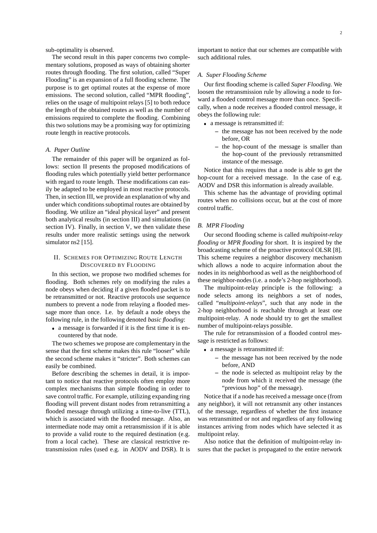sub-optimality is observed.

The second result in this paper concerns two complementary solutions, proposed as ways of obtaining shorter routes through flooding. The first solution, called "Super Flooding" is an expansion of a full flooding scheme. The purpose is to get optimal routes at the expense of more emissions. The second solution, called "MPR flooding", relies on the usage of multipoint relays [5] to both reduce the length of the obtained routes as well as the number of emissions required to complete the flooding. Combining this two solutions may be a promising way for optimizing route length in reactive protocols.

# *A. Paper Outline*

The remainder of this paper will be organized as follows: section II presents the proposed modifications of flooding rules which potentially yield better performance with regard to route length. These modifications can easily be adapted to be employed in most reactive protocols. Then, in section III, we provide an explanation of why and under which conditions suboptimal routes are obtained by flooding. We utilize an "ideal physical layer" and present both analytical results (in section III) and simulations (in section IV). Finally, in section V, we then validate these results under more realistic settings using the network simulator ns2 [15].

# II. SCHEMES FOR OPTIMIZING ROUTE LENGTH DISCOVERED BY FLOODING

In this section, we propose two modified schemes for flooding. Both schemes rely on modifying the rules a node obeys when deciding if a given flooded packet is to be retransmitted or not. Reactive protocols use sequence numbers to prevent a node from relaying a flooded message more than once. I.e. by default a node obeys the following rule, in the following denoted *basic flooding*:

 a message is forwarded if it is the first time it is encountered by that node.

The two schemes we propose are complementary in the sense that the first scheme makes this rule "looser" while the second scheme makes it "stricter". Both schemes can easily be combined.

Before describing the schemes in detail, it is important to notice that reactive protocols often employ more complex mechanisms than simple flooding in order to save control traffic. For example, utilizing expanding ring flooding will prevent distant nodes from retransmitting a flooded message through utilizing a time-to-live (TTL), which is associated with the flooded message. Also, an intermediate node may omit a retransmission if it is able to provide a valid route to the required destination (e.g. from a local cache). These are classical restrictive retransmission rules (used e.g. in AODV and DSR). It is important to notice that our schemes are compatible with such additional rules.

## *A. Super Flooding Scheme*

Our first flooding scheme is called *Super Flooding*. We loosen the retransmission rule by allowing a node to forward a flooded control message more than once. Specifically, when a node receives a flooded control message, it obeys the following rule:

- a message is retransmitted if:
	- **–** the message has not been received by the node before, OR
	- **–** the hop-count of the message is smaller than the hop-count of the previously retransmitted instance of the message.

Notice that this requires that a node is able to get the hop-count for a received message. In the case of e.g. AODV and DSR this information is already available.

This scheme has the advantage of providing optimal routes when no collisions occur, but at the cost of more control traffic.

# *B. MPR Flooding*

Our second flooding scheme is called *multipoint-relay flooding* or *MPR flooding* for short. It is inspired by the broadcasting scheme of the proactive protocol OLSR [8]. This scheme requires a neighbor discovery mechanism which allows a node to acquire information about the nodes in its neighborhood as well as the neighborhood of these neighbor-nodes (i.e. a node's 2-hop neighborhood).

The multipoint-relay principle is the following: a node selects among its neighbors a set of nodes, called "*multipoint-relays*", such that any node in the 2-hop neighborhood is reachable through at least one multipoint-relay. A node should try to get the smallest number of multipoint-relays possible.

The rule for retransmission of a flooded control message is restricted as follows:

- a message is retransmitted if:
	- **–** the message has not been received by the node before, AND
	- **–** the node is selected as multipoint relay by the node from which it received the message (the "previous hop" of the message).

Notice that if a node has received a message once (from any neighbor), it will not retransmit any other instances of the message, regardless of whether the first instance was retransmitted or not and regardless of any following instances arriving from nodes which have selected it as multipoint relay.

Also notice that the definition of multipoint-relay insures that the packet is propagated to the entire network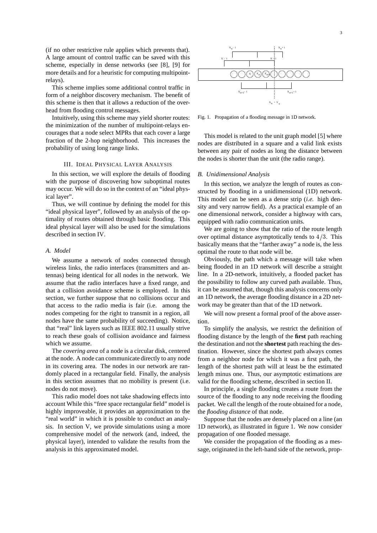(if no other restrictive rule applies which prevents that). A large amount of control traffic can be saved with this scheme, especially in dense networks (see [8], [9] for more details and for a heuristic for computing multipointrelays).

This scheme implies some additional control traffic in form of a neighbor discovery mechanism. The benefit of this scheme is then that it allows a reduction of the overhead from flooding control messages.

Intuitively, using this scheme may yield shorter routes: the minimization of the number of multipoint-relays encourages that a node select MPRs that each cover a large fraction of the 2-hop neighborhood. This increases the probability of using long range links.

# III. IDEAL PHYSICAL LAYER ANALYSIS

In this section, we will explore the details of flooding with the purpose of discovering how suboptimal routes may occur. We will do so in the context of an "ideal physical layer".

Thus, we will continue by defining the model for this "ideal physical layer", followed by an analysis of the optimality of routes obtained through basic flooding. This ideal physical layer will also be used for the simulations described in section IV.

# *A. Model*

We assume a network of nodes connected through wireless links, the radio interfaces (transmitters and antennas) being identical for all nodes in the network. We assume that the radio interfaces have a fixed range, and that a collision avoidance scheme is employed. In this section, we further suppose that no collisions occur and that access to the radio media is fair (i.e. among the nodes competing for the right to transmit in a region, all nodes have the same probability of succeeding). Notice, that "real" link layers such as IEEE 802.11 usually strive to reach these goals of collision avoidance and fairness which we assume.

The *covering area* of a node is a circular disk, centered at the node. A node can communicate directly to any node in its covering area. The nodes in our network are randomly placed in a rectangular field. Finally, the analysis in this section assumes that no mobility is present (i.e. nodes do not move).

This radio model does not take shadowing effects into account While this "free space rectangular field" model is highly improveable, it provides an approximation to the "real world" in which it is possible to conduct an analysis. In section V, we provide simulations using a more comprehensive model of the network (and, indeed, the physical layer), intended to validate the results from the analysis in this approximated model.



Fig. 1. Propagation of a flooding message in 1D network.

This model is related to the unit graph model [5] where nodes are distributed in a square and a valid link exists between any pair of nodes as long the distance between the nodes is shorter than the unit (the radio range).

#### *B. Unidimensional Analysis*

In this section, we analyze the length of routes as constructed by flooding in a unidimensional (1D) network. This model can be seen as a dense strip (*i.e.* high density and very narrow field). As a practical example of an one dimensional network, consider a highway with cars, equipped with radio communication units.

We are going to show that the ratio of the route length over optimal distance asymptotically tends to  $4/3$ . This basically means that the "farther away" a node is, the less optimal the route to that node will be.

Obviously, the path which a message will take when being flooded in an 1D network will describe a straight line. In a 2D-network, intuitively, a flooded packet has the possibility to follow any curved path available. Thus, it can be assumed that, though this analysis concerns only an 1D network, the average flooding distance in a 2D network may be greater than that of the 1D network.

We will now present a formal proof of the above assertion.

To simplify the analysis, we restrict the definition of flooding distance by the length of the **first** path reaching the destination and not the **shortest** path reaching the destination. However, since the shortest path always comes from a neighbor node for which it was a first path, the length of the shortest path will at least be the estimated length minus one. Thus, our asymptotic estimations are valid for the flooding scheme, described in section II.

In principle, a single flooding creates a route from the source of the flooding to any node receiving the flooding packet. We call the length of the route obtained for a node, the *flooding distance* of that node.

Suppose that the nodes are densely placed on a line (an 1D network), as illustrated in figure 1. We now consider propagation of one flooded message.

We consider the propagation of the flooding as a message, originated in the left-hand side of the network, prop-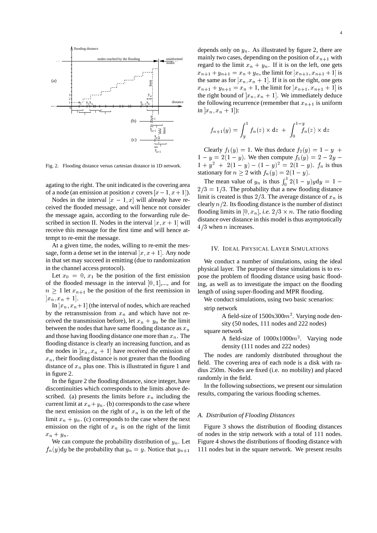

Fig. 2. Flooding distance versus cartesian distance in 1D network.

agating to the right. The unit indicated is the covering area of a node (an emission at position x covers  $[x - 1, x + 1]$ ).

Nodes in the interval  $[x - 1, x]$  will already have received the flooded message, and will hence not consider the message again, according to the forwarding rule described in section II. Nodes in the interval  $[x, x + 1]$  will receive this message for the first time and will hence attempt to re-emit the message.

At a given time, the nodes, willing to re-emit the message, form a dense set in the interval  $[x, x + 1]$ . Any node in that set may succeed in emitting (due to randomization in the channel access protocol).

Let  $x_0 = 0$ ,  $x_1$  be the position of the first emission of the flooded message in the interval  $[0, 1], \ldots$ , and for  $n \geq 1$  let  $x_{n+1}$  be the position of the first reemission in  $[x_n, x_n + 1].$ 

In  $[x_n, x_n+1]$  (the interval of nodes, which are reached by the retransmission from  $x_n$  and which have not received the transmission before), let  $x_n + y_n$  be the limit between the nodes that have same flooding distance as  $x_n$ and those having flooding distance one more than  $x_n$ . The flooding distance is clearly an increasing function, and as the nodes in  $[x_n, x_n + 1]$  have received the emission of  $x_n$ , their flooding distance is not greater than the flooding distance of  $x_n$  plus one. This is illustrated in figure 1 and in figure 2.

In the figure 2 the flooding distance, since integer, have discontinuities which corresponds to the limits above described. (a) presents the limits before  $x_n$  including the current limit at  $x_n+y_n$ . (b) corresponds to the case where the next emission on the right of  $x_n$  is on the left of the limit  $x_n + y_n$ . (c) corresponds to the case where the next emission on the right of  $x_n$  is on the right of the limit  $x_n + y_n$ .

We can compute the probability distribution of  $y_n$ . Let  $f_n(y)$ dy be the probability that  $y_n = y$ . Notice that  $y_{n+1}$ 

depends only on  $y_n$ . As illustrated by figure 2, there are mainly two cases, depending on the position of  $x_{n+1}$  with regard to the limit  $x_n + y_n$ . If it is on the left, one gets  $x_{n+1} + y_{n+1} = x_n + y_n$ , the limit for  $x_{n+1}, x_{n+1} + 1$  is the same as for  $x_n$ ,  $x_n + 1$ . If it is on the right, one gets  $x_{n+1} + y_{n+1} = x_n + 1$ , the limit for  $|x_{n+1}, x_{n+1} + 1|$  is the right bound of  $[x_n, x_n + 1]$ . We immediately deduce the following recurrence (remember that  $x_{n+1}$  is uniform in  $[x_n, x_n + 1]$ :

$$
f_{n+1}(y) = \int_{y}^{1} f_n(z) \times dz + \int_{0}^{1-y} f_n(z) \times dz
$$

Clearly  $f_1(y) = 1$ . We thus deduce  $f_2(y) = 1 - y$  $1 - y = 2(1 - y)$ . We then compute  $f_3(y) = 2 - 2y$  $1 + y^2 + 2(1 - y) - (1 - y)^2 = 2(1 - y)$ .  $f_n$  is thus stationary for  $n \geq 2$  with  $f_n(y) = 2(1 - y)$ .

The mean value of  $y_n$  is thus  $\int_0^1 2(1-y)y dy = 1$  –  $2/3 = 1/3$ . The probability that a new flooding distance limit is created is thus  $2/3$ . The average distance of  $x_n$  is clearly  $n/2$ . Its flooding distance is the number of distinct flooding limits in [0,  $x_n$ ], *i.e.*  $2/3 \times n$ . The ratio flooding distance over distance in this model is thus asymptotically  $4/3$  when *n* increases.

# IV. IDEAL PHYSICAL LAYER SIMULATIONS

We conduct a number of simulations, using the ideal physical layer. The purpose of these simulations is to expose the problem of flooding distance using basic flooding, as well as to investigate the impact on the flooding length of using super-flooding and MPR flooding.

We conduct simulations, using two basic scenarios: strip network

A field-size of  $1500x300m^2$ . Varying node density (50 nodes, 111 nodes and 222 nodes)

square network

A field-size of  $1000x1000m^2$ . Varying node density (111 nodes and 222 nodes)

The nodes are randomly distributed throughout the field. The covering area of each node is a disk with radius 250m. Nodes are fixed (i.e. no mobility) and placed randomly in the field.

In the following subsections, we present our simulation results, comparing the various flooding schemes.

#### *A. Distribution of Flooding Distances*

Figure 3 shows the distribution of flooding distances of nodes in the strip network with a total of 111 nodes. Figure 4 shows the distributions of flooding distance with 111 nodes but in the square network. We present results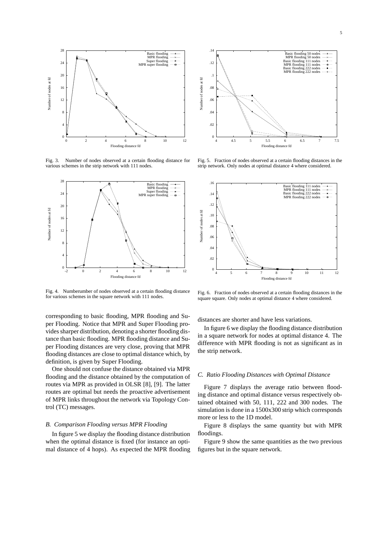

Fig. 3. Number of nodes observed at a certain flooding distance for various schemes in the strip network with 111 nodes.



Fig. 4. Numberumber of nodes observed at a certain flooding distance for various schemes in the square network with 111 nodes.

corresponding to basic flooding, MPR flooding and Super Flooding. Notice that MPR and Super Flooding provides sharper distribution, denoting a shorter flooding distance than basic flooding. MPR flooding distance and Super Flooding distances are very close, proving that MPR flooding distances are close to optimal distance which, by definition, is given by Super Flooding.

One should not confuse the distance obtained via MPR flooding and the distance obtained by the computation of routes via MPR as provided in OLSR [8], [9]. The latter routes are optimal but needs the proactive advertisement of MPR links throughout the network via Topology Control (TC) messages.

## *B. Comparison Flooding versus MPR Flooding*

In figure 5 we display the flooding distance distribution when the optimal distance is fixed (for instance an optimal distance of 4 hops). As expected the MPR flooding



Fig. 5. Fraction of nodes observed at a certain flooding distances in the strip network. Only nodes at optimal distance 4 where considered.



Fig. 6. Fraction of nodes observed at a certain flooding distances in the square square. Only nodes at optimal distance 4 where considered.

distances are shorter and have less variations.

In figure 6 we display the flooding distance distribution in a square network for nodes at optimal distance 4. The difference with MPR flooding is not as significant as in the strip network.

#### *C. Ratio Flooding Distances with Optimal Distance*

Figure 7 displays the average ratio between flooding distance and optimal distance versus respectively obtained obtained with 50, 111, 222 and 300 nodes. The simulation is done in a 1500x300 strip which corresponds more or less to the 1D model.

Figure 8 displays the same quantity but with MPR floodings.

Figure 9 show the same quantities as the two previous figures but in the square network.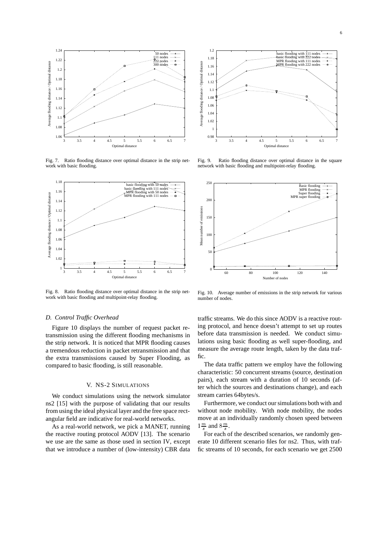

Fig. 7. Ratio flooding distance over optimal distance in the strip network with basic flooding.



Fig. 8. Ratio flooding distance over optimal distance in the strip network with basic flooding and multipoint-relay flooding.

#### *D. Control Traffic Overhead*

Figure 10 displays the number of request packet retransmission using the different flooding mechanisms in the strip network. It is noticed that MPR flooding causes a tremendous reduction in packet retransmission and that the extra transmissions caused by Super Flooding, as compared to basic flooding, is still reasonable.

#### V. NS-2 SIMULATIONS

We conduct simulations using the network simulator ns2 [15] with the purpose of validating that our results from using the ideal physical layer and the free space rectangular field are indicative for real-world networks.

As a real-world network, we pick a MANET, running the reactive routing protocol AODV [13]. The scenario we use are the same as those used in section IV, except that we introduce a number of (low-intensity) CBR data



Fig. 9. Ratio flooding distance over optimal distance in the square network with basic flooding and multipoint-relay flooding.



Fig. 10. Average number of emissions in the strip network for various number of nodes.

traffic streams. We do this since AODV is a reactive routing protocol, and hence doesn't attempt to set up routes before data transmission is needed. We conduct simulations using basic flooding as well super-flooding, and measure the average route length, taken by the data traffic.

The data traffic pattern we employ have the following characteristic: 50 concurrent streams (source, destination pairs), each stream with a duration of 10 seconds (after which the sources and destinations change), and each stream carries 64bytes/s.

Furthermore, we conduct our simulations both with and without node mobility. With node mobility, the nodes move at an individually randomly chosen speed between  $1 \frac{m}{s}$  and  $8 \frac{m}{s}$ .

For each of the described scenarios, we randomly generate 10 different scenario files for ns2. Thus, with traffic streams of 10 seconds, for each scenario we get 2500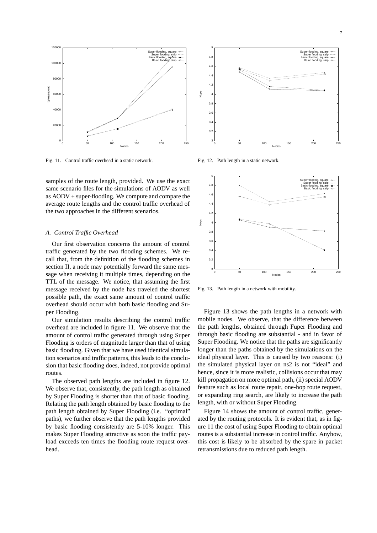

Fig. 11. Control traffic overhead in a static network.

samples of the route length, provided. We use the exact same scenario files for the simulations of AODV as well as AODV + super-flooding. We compute and compare the average route lengths and the control traffic overhead of the two approaches in the different scenarios.

# *A. Control Traffic Overhead*

Our first observation concerns the amount of control traffic generated by the two flooding schemes. We recall that, from the definition of the flooding schemes in section II, a node may potentially forward the same message when receiving it multiple times, depending on the TTL of the message. We notice, that assuming the first message received by the node has traveled the shortest possible path, the exact same amount of control traffic overhead should occur with both basic flooding and Super Flooding.

Our simulation results describing the control traffic overhead are included in figure 11. We observe that the amount of control traffic generated through using Super Flooding is orders of magnitude larger than that of using basic flooding. Given that we have used identical simulation scenarios and traffic patterns, this leads to the conclusion that basic flooding does, indeed, not provide optimal routes.

The observed path lengths are included in figure 12. We observe that, consistently, the path length as obtained by Super Flooding is shorter than that of basic flooding. Relating the path length obtained by basic flooding to the path length obtained by Super Flooding (i.e. "optimal" paths), we further observe that the path lengths provided by basic flooding consistently are 5-10% longer. This makes Super Flooding attractive as soon the traffic payload exceeds ten times the flooding route request overhead.



Fig. 12. Path length in a static network.



Fig. 13. Path length in a network with mobility.

Figure 13 shows the path lengths in a network with mobile nodes. We observe, that the difference between the path lengths, obtained through Fuper Flooding and through basic flooding are substantial - and in favor of Super Flooding. We notice that the paths are significantly longer than the paths obtained by the simulations on the ideal physical layer. This is caused by two reasons: (i) the simulated physical layer on ns2 is not "ideal" and hence, since it is more realistic, collisions occur that may kill propagation on more optimal path, (ii) special AODV feature such as local route repair, one-hop route request, or expanding ring search, are likely to increase the path length, with or without Super Flooding.

Figure 14 shows the amount of control traffic, generated by the routing protocols. It is evident that, as in figure 11 the cost of using Super Flooding to obtain optimal routes is a substantial increase in control traffic. Anyhow, this cost is likely to be absorbed by the spare in packet retransmissions due to reduced path length.